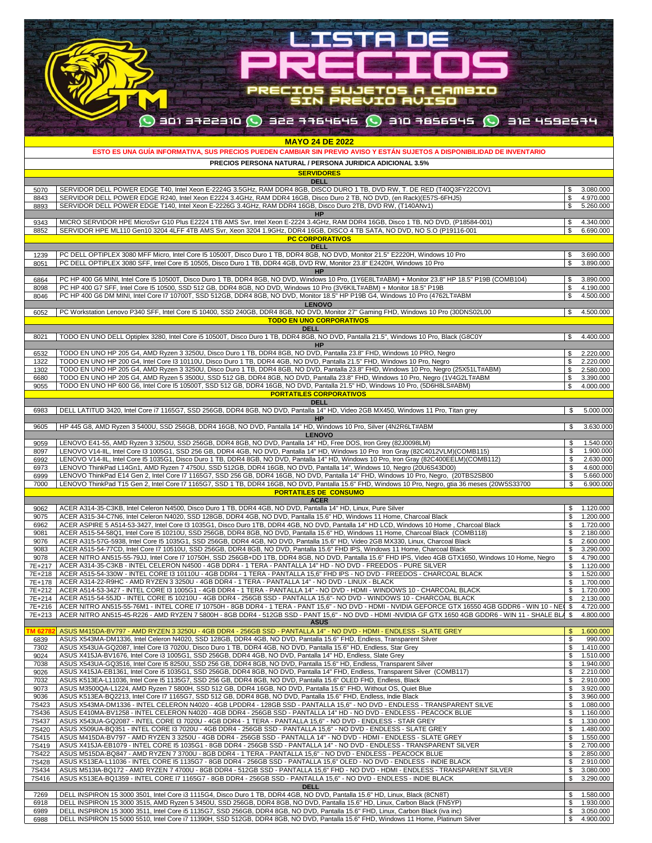| <b>LISTA DE</b>                                                                                                                                                                                                                                                                                                                                                                                       |                |                        |
|-------------------------------------------------------------------------------------------------------------------------------------------------------------------------------------------------------------------------------------------------------------------------------------------------------------------------------------------------------------------------------------------------------|----------------|------------------------|
|                                                                                                                                                                                                                                                                                                                                                                                                       |                |                        |
| REET                                                                                                                                                                                                                                                                                                                                                                                                  |                |                        |
|                                                                                                                                                                                                                                                                                                                                                                                                       |                |                        |
| ECIOS SUJETOS A CAMBIO<br>SIN PREVIO AVISO                                                                                                                                                                                                                                                                                                                                                            |                |                        |
| $\bigcirc$ ani affere $\bigcirc$ and are ore $\bigcirc$ and the sec $\bigcirc$ are secre roe $\bigcirc$                                                                                                                                                                                                                                                                                               |                |                        |
|                                                                                                                                                                                                                                                                                                                                                                                                       |                |                        |
| <b>MAYO 24 DE 2022</b><br>ESTO ES UNA GUÍA INFORMATIVA, SUS PRECIOS PUEDEN CAMBIAR SIN PREVIO AVISO Y ESTÁN SUJETOS A DISPONIBILIDAD DE INVENTARIO                                                                                                                                                                                                                                                    |                |                        |
| PRECIOS PERSONA NATURAL / PERSONA JURIDICA ADICIONAL 3.5%                                                                                                                                                                                                                                                                                                                                             |                |                        |
| <b>SERVIDORES</b><br><b>DELL</b>                                                                                                                                                                                                                                                                                                                                                                      |                |                        |
| SERVIDOR DELL POWER EDGE T40, Intel Xeon E-2224G 3.5GHz, RAM DDR4 8GB, DISCO DURO 1 TB, DVD RW, T. DE RED (T40Q3FY22COV1<br>5070<br>SERVIDOR DELL POWER EDGE R240, Intel Xeon E2224 3.4GHz, RAM DDR4 16GB, Disco Duro 2 TB, NO DVD, (en Rack)(E57S-6FHJ5)<br>8843                                                                                                                                     | \$<br>\$       | 3.080.000<br>4.970.000 |
| SERVIDOR DELL POWER EDGE T140, Intel Xeon E-2226G 3.4GHz, RAM DDR4 16GB, Disco Duro 2TB, DVD RW, (T140ANv1)<br>8893<br>HP                                                                                                                                                                                                                                                                             | $\mathbb{S}$   | 5.260.000              |
| MICRO SERVIDOR HPE MicroSvr G10 Plus E2224 1TB AMS Svr, Intel Xeon E-2224 3.4GHz, RAM DDR4 16GB, Disco 1 TB, NO DVD, (P18584-001)<br>9343<br>SERVIDOR HPE ML110 Gen10 3204 4LFF 4TB AMS Svr, Xeon 3204 1.9GHz, DDR4 16GB, DISCO 4 TB SATA, NO DVD, NO S.O (P19116-001<br>8852                                                                                                                         | \$<br>\$       | 4.340.000<br>6.690.000 |
| <b>PC CORPORATIVOS</b><br><b>DELL</b>                                                                                                                                                                                                                                                                                                                                                                 |                |                        |
| PC DELL OPTIPLEX 3080 MFF Micro, Intel Core 15 10500T, Disco Duro 1 TB, DDR4 8GB, NO DVD, Monitor 21.5" E2220H, Windows 10 Pro<br>1239<br>PC DELL OPTIPLEX 3080 SFF, Intel Core I5 10505, Disco Duro 1 TB, DDR4 4GB, DVD RW, Monitor 23.8" E2420H, Windows 10 Pro<br>8051                                                                                                                             | \$<br>\$       | 3.690.000<br>3.890.000 |
| <b>HP</b><br>PC HP 400 G6 MINI, Intel Core I5 10500T, Disco Duro 1 TB, DDR4 8GB, NO DVD, Windows 10 Pro, (1Y6E8LT#ABM) + Monitor 23.8" HP 18.5" P19B (COMB104)<br>6864                                                                                                                                                                                                                                | \$             | 3.890.000              |
| PC HP 400 G7 SFF, Intel Core I5 10500, SSD 512 GB, DDR4 8GB, NO DVD, Windows 10 Pro (3V6KILT#ABM) + Monitor 18.5" P19B<br>8098<br>PC HP 400 G6 DM MINI, Intel Core I7 10700T, SSD 512GB, DDR4 8GB, NO DVD, Monitor 18.5" HP P19B G4, Windows 10 Pro (4762LT#ABM<br>8046                                                                                                                               | \$<br>\$       | 4.190.000<br>4.500.000 |
| <b>LENOVO</b><br>PC Workstation Lenovo P340 SFF, Intel Core I5 10400, SSD 240GB, DDR4 8GB, NO DVD, Monitor 27" Gaming FHD, Windows 10 Pro (30DNS02L00<br>6052                                                                                                                                                                                                                                         | \$             | 4.500.000              |
| <b>TODO EN UNO CORPORATIVOS</b><br><b>DELL</b>                                                                                                                                                                                                                                                                                                                                                        |                |                        |
| TODO EN UNO DELL Optiplex 3280, Intel Core i5 10500T, Disco Duro 1 TB, DDR4 8GB, NO DVD, Pantalla 21.5", Windows 10 Pro, Black (G8C0Y<br>8021<br><b>HP</b>                                                                                                                                                                                                                                            | \$             | 4.400.000              |
| TODO EN UNO HP 205 G4, AMD Ryzen 3 3250U, Disco Duro 1 TB, DDR4 8GB, NO DVD, Pantalla 23.8" FHD, Windows 10 PRO, Negro<br>6532<br>TODO EN UNO HP 200 G4, Intel Core I3 10110U, Disco Duro 1 TB, DDR4 4GB, NO DVD, Pantalla 21.5" FHD, Windows 10 Pro, Negro<br>1322                                                                                                                                   | \$<br>\$       | 2.220.000<br>2.220.000 |
| TODO EN UNO HP 205 G4, AMD Ryzen 3 3250U, Disco Duro 1 TB, DDR4 8GB, NO DVD, Pantalla 23.8" FHD, Windows 10 Pro, Negro (25X51LT#ABM)<br>1302<br>TODO EN UNO HP 205 G4, AMD Ryzen 5 3500U, SSD 512 GB, DDR4 8GB, NO DVD, Pantalla 23.8" FHD, Windows 10 Pro, Negro (1V4G2LT#ABM<br>6680                                                                                                                | \$<br>\$       | 2.580.000<br>3.390.000 |
| TODO EN UNO HP 600 G6, Intel Core I5 10500T, SSD 512 GB, DDR4 16GB, NO DVD, Pantalla 21.5" HD, Windows 10 Pro, (5D6H8LS#ABM)<br>9055<br><b>PORTATILES CORPORATIVOS</b>                                                                                                                                                                                                                                | \$             | 4.000.000              |
| <b>DELL</b><br>DELL LATITUD 3420, Intel Core i7 1165G7, SSD 256GB, DDR4 8GB, NO DVD, Pantalla 14" HD, Video 2GB MX450, Windows 11 Pro, Titan grey<br>6983                                                                                                                                                                                                                                             | \$             | 5.000.000              |
| <b>HP</b><br>HP 445 G8, AMD Ryzen 3 5400U, SSD 256GB, DDR4 16GB, NO DVD, Pantalla 14" HD, Windows 10 Pro, Silver (4N2R6LT#ABM<br>9605                                                                                                                                                                                                                                                                 | \$             | 3.630.000              |
| <b>LENOVO</b><br>LENOVO E41-55, AMD Ryzen 3 3250U, SSD 256GB, DDR4 8GB, NO DVD, Pantalla 14" HD, Free DOS, Iron Grey (82J0098LM)<br>9059                                                                                                                                                                                                                                                              | \$             | 1.540.000              |
| LENOVO V14-IIL, Intel Core I3 1005G1, SSD 256 GB, DDR4 4GB, NO DVD, Pantalla 14" HD, Windows 10 Pro Iron Gray (82C4012VLM)(COMB115)<br>8097<br>LENOVO V14-IIL, Intel Core 15 1035G1, Disco Duro 1 TB, DDR4 8GB, NO DVD, Pantalla 14" HD, Windows 10 Pro, Iron Gray (82C400EELM)(COMB112)<br>6992                                                                                                      | \$<br>\$       | 1.900.000<br>2.630.000 |
| LENOVO ThinkPad L14Gn1, AMD Ryzen 7 4750U, SSD 512GB, DDR4 16GB, NO DVD, Pantalla 14", Windows 10, Negro (20U6S43D00)<br>6973<br>LENOVO ThinkPad E14 Gen 2, Intel Core 17 1165G7, SSD 256 GB, DDR4 16GB, NO DVD, Pantalla 14" FHD, Windows 10 Pro, Negro, (20TBS2SB00<br>6999                                                                                                                         | \$<br>\$       | 4.600.000<br>5.660.000 |
| LENOVO ThinkPad T15 Gen 2, Intel Core I7 1165G7, SSD 1 TB, DDR4 16GB, NO DVD, Pantalla 15.6" FHD, Windows 10 Pro, Negro, gtia 36 meses (20W5S33700<br>7000<br><b>PORTATILES DE CONSUMO</b>                                                                                                                                                                                                            | \$             | 6.900.000              |
| <b>ACER</b><br>ACER A314-35-C3KB, Intel Celeron N4500, Disco Duro 1 TB, DDR4 4GB, NO DVD, Pantalla 14" HD, Linux, Pure Silver<br>9062                                                                                                                                                                                                                                                                 | \$             | 1.120.000              |
| ACER A315-34-C7N6, Intel Celeron N4020, SSD 128GB, DDR4 4GB, NO DVD, Pantalla 15.6" HD, Windows 11 Home, Charcoal Black<br>9075<br>ACER ASPIRE 5 A514-53-3427, Intel Core I3 1035G1, Disco Duro 1TB, DDR4 4GB, NO DVD, Pantalla 14" HD LCD, Windows 10 Home, Charcoal Black<br>6962                                                                                                                   | \$<br>\$       | 1.200.000<br>1.720.000 |
| 9081<br>ACER A515-54-58Q1, Intel Core I5 10210U, SSD 256GB, DDR4 8GB, NO DVD, Pantalla 15.6" HD, Windows 11 Home, Charcoal Black (COMB118)<br>9076<br>ACER A315-57G-5938, Intel Core I5 1035G1, SSD 256GB, DDR4 4GB, NO DVD, Pantalla 15.6" HD, Video 2GB MX330, Linux, Charcoal Black                                                                                                                | \$<br>\$       | 2.180.000<br>2.600.000 |
| 9083<br>ACER A515-54-77CD, Intel Core I7 10510U, SSD 256GB, DDR4 8GB, NO DVD, Pantalla 15.6" FHD IPS, Windows 11 Home, Charcoal Black<br>9078<br>ACER NITRO AN515-55-79JJ, Intel Core I7 10750H, SSD 256GB+DD 1TB, DDR4 8GB, NO DVD, Pantalla 15.6" FHD IPS, Video 4GB GTX1650, Windows 10 Home, Negro                                                                                                | \$<br>\$       | 3.290.000<br>4.790.000 |
| 7E+217<br>ACER A314-35-C3KB - INTEL CELERON N4500 - 4GB DDR4 - 1 TERA - PANTALLA 14" HD - NO DVD - FREEDOS - PURE SILVER<br>7E+218<br>ACER A515-54-330W - INTEL CORE I3 10110U - 4GB DDR4 - 1 TERA - PANTALLA 15,6" FHD IPS - NO DVD - FREEDOS - CHARCOAL BLACK                                                                                                                                       | \$<br>\$       | 1.120.000<br>1.520.000 |
| ACER A314-22-R9HC - AMD RYZEN 3 3250U - 4GB DDR4 - 1 TERA - PANTALLA 14" - NO DVD - LINUX - BLACK<br>7E+178<br>7E+212<br>ACER A514-53-3427 - INTEL CORE I3 1005G1 - 4GB DDR4 - 1 TERA - PANTALLA 14" - NO DVD - HDMI - WINDOWS 10 - CHARCOAL BLACK                                                                                                                                                    | \$<br>\$       | 1.700.000<br>1.720.000 |
| 7E+214<br>ACER A515-54-55JD - INTEL CORE 15 10210U - 4GB DDR4 - 256GB SSD - PANTALLA 15,6" - NO DVD - WINDOWS 10 - CHARCOAL BLACK<br>ACER NITRO AN515-55-76M1 - INTEL CORE I7 10750H - 8GB DDR4 - 1 TERA - PANT 15,6" - NO DVD - HDMI - NVIDIA GEFORCE GTX 16550 4GB GDDR6 - WIN 10 - NE(<br>7E+216                                                                                                   | S<br>\$        | 2.130.000<br>4.720.000 |
| ACER NITRO AN515-45-R226 - AMD RYZEN 7 5800H - 8GB DDR4 - 512GB SSD - PANT 15,6" - NO DVD - HDMI -NVIDIA GF GTX 1650 4GB GDDR6 - WIN 11 - SHALE BLA \$<br>7E+213<br><b>ASUS</b><br>ASUS M415DA-BV797 - AMD RYZEN 3 3250U - 4GB DDR4 - 256GB SSD - PANTALLA 14" - NO DVD - HDMI - ENDLESS - SLATE GREY<br><b>M 6278</b>                                                                                | $\mathfrak{s}$ | 4.800.000<br>1.600.000 |
| ASUS X543MA-DM1336, Intel Celeron N4020, SSD 128GB, DDR4 4GB, NO DVD, Pantalla 15.6" FHD, Endless, Transparent Silver<br>6839<br>7302<br>ASUS X543UA-GQ2087, Intel Core I3 7020U, Disco Duro 1 TB, DDR4 4GB, NO DVD, Pantalla 15.6" HD, Endless, Star Grey                                                                                                                                            | \$<br>\$       | 990.000<br>1.410.000   |
| 9024<br>ASUS X415JA-BV1676, Intel Core i3 1005G1, SSD 256GB, DDR4 4GB, NO DVD, Pantalla 14" HD, Endless, Slate Grey<br>7038<br>ASUS X543UA-GQ3516, Intel Core I5 8250U, SSD 256 GB, DDR4 8GB, NO DVD, Pantalla 15.6" HD, Endless, Transparent Silver                                                                                                                                                  | \$<br>S        | 1.510.000<br>1.940.000 |
| 9026<br>ASUS X415JA-EB1361, Intel Core i5 1035G1, SSD 256GB, DDR4 8GB, NO DVD, Pantalla 14" FHD, Endless, Transparent Silver (COMB117)<br>7032<br>ASUS K513EA-L11036, Intel Core I5 1135G7, SSD 256 GB, DDR4 8GB, NO DVD, Pantalla 15.6" OLED FHD, Endless, Black                                                                                                                                     | \$<br>\$       | 2.210.000<br>2.910.000 |
| 9073<br>ASUS M3500QA-L1224, AMD Ryzen 7 5800H, SSD 512 GB, DDR4 16GB, NO DVD, Pantalla 15.6" FHD, Without OS, Quiet Blue                                                                                                                                                                                                                                                                              | \$             | 3.920.000<br>3.960.000 |
| 9036<br>ASUS K513EA-BQ2213, Intel Core I7 1165G7, SSD 512 GB, DDR4 8GB, NO DVD, Pantalla 15.6" FHD, Endless, Indie Black<br>ASUS X543MA-DM1336 - INTEL CELERON N4020 - 4GB LPDDR4 - 128GB SSD - PANTALLA 15,6" - NO DVD - ENDLESS - TRANSPARENT SILVE<br><b>7S423</b><br>ASUS E410MA-BV1258 - INTEL CELERON N4020 - 4GB DDR4 - 256GB SSD - PANTALLA 14" HD - NO DVD - ENDLESS - PEACOCK BLUE<br>7S436 | \$<br>\$<br>\$ | 1.080.000<br>1.160.000 |
| ASUS X543UA-GQ2087 - INTEL CORE I3 7020U - 4GB DDR4 - 1 TERA - PANTALLA 15,6" - NO DVD - ENDLESS - STAR GREY<br>7S437<br>ASUS X509UA-BQ351 - INTEL CORE I3 7020U - 4GB DDR4 - 256GB SSD - PANTALLA 15,6" - NO DVD - ENDLESS - SLATE GREY<br>7S420                                                                                                                                                     | \$<br>\$       | 1.330.000<br>1.480.000 |
| ASUS M415DA-BV797 - AMD RYZEN 3 3250U - 4GB DDR4 - 256GB SSD - PANTALLA 14" - NO DVD - HDMI - ENDLESS - SLATE GREY<br>7S415<br>7S419<br>ASUS X415JA-EB1079 - INTEL CORE 15 1035G1 - 8GB DDR4 - 256GB SSD - PANTALLA 14" - NO DVD - ENDLESS - TRANSPARENT SILVER                                                                                                                                       | \$<br>\$       | 1.550.000<br>2.700.000 |
| <b>7S422</b><br>ASUS M515DA-BQ847 - AMD RYZEN 7 3700U - 8GB DDR4 - 1 TERA - PANTALLA 15,6" - NO DVD - ENDLESS - PEACOCK BLUE<br><b>7S428</b><br>ASUS K513EA-L11036 - INTEL CORE I5 1135G7 - 8GB DDR4 - 256GB SSD - PANTALLA 15,6" OLED - NO DVD - ENDLESS - INDIE BLACK                                                                                                                               | \$<br>\$       | 2.850.000<br>2.910.000 |
| ASUS M513IA-BQ172 - AMD RYZEN 7 4700U - 8GB DDR4 - 512GB SSD - PANTALLA 15,6" FHD - NO DVD - HDMI - ENDLESS - TRANSPARENT SILVER<br>7S434<br>7S416<br>ASUS K513EA-BQ1359 - INTEL CORE I7 1165G7 - 8GB DDR4 - 256GB SSD - PANTALLA 15,6" - NO DVD - ENDLESS - INDIE BLACK                                                                                                                              | \$<br>\$       | 3.080.000<br>3.290.000 |
| <b>DELL</b><br>7269<br>DELL INSPIRON 15 3000 3501, Intel Core i3 1115G4, Disco Duro 1 TB, DDR4 4GB, NO DVD, Pantalla 15.6" HD, Linux, Black (8CN8T)                                                                                                                                                                                                                                                   | \$             | 1.580.000              |
| DELL INSPIRON 15 3000 3515, AMD Ryzen 5 3450U, SSD 256GB, DDR4 8GB, NO DVD, Pantalla 15.6" HD, Linux, Carbon Black (FN5YP)<br>6918<br>DELL INSPIRON 15 3000 3511, Intel Core i5 1135G7, SSD 256GB, DDR4 8GB, NO DVD, Pantalla 15.6" FHD, Linux, Carbon Black (iva inc)<br>6989                                                                                                                        | \$<br>\$       | 1.930.000<br>3.050.000 |
| 6988<br>DELL INSPIRON 15 5000 5510, Intel Core i7 11390H, SSD 512GB, DDR4 8GB, NO DVD, Pantalla 15.6" FHD, Windows 11 Home, Platinum Silver                                                                                                                                                                                                                                                           | \$             | 4.900.000              |